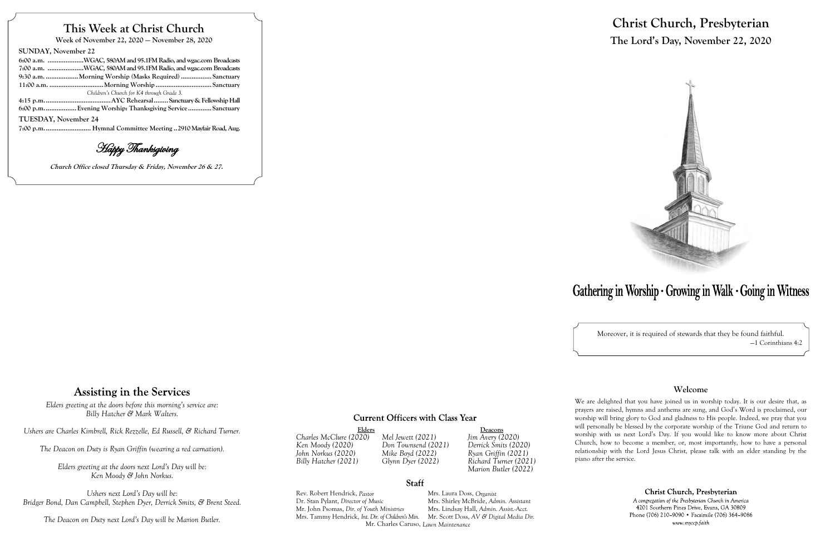## **This Week at Christ Church**

**Week of November 22, 2020 — November 28, 2020**

#### **SUNDAY, November 22**

| 6:00 a.m. WGAC, 580AM and 95.1FM Radio, and wgac.com Broadcasts |  |
|-----------------------------------------------------------------|--|
| 7:00 a.m. WGAC, 580AM and 95.1FM Radio, and wgac.com Broadcasts |  |
| 9:30 a.m. Morning Worship (Masks Required)  Sanctuary           |  |
|                                                                 |  |
| Children's Church for K4 through Grade 3.                       |  |
|                                                                 |  |
| 6:00 p.m Evening Worship: Thanksgiving Service  Sanctuary       |  |
|                                                                 |  |

Elders<br>
O20) Mel Jewett (2021) Jim Avery (2020) *Billy Hatcher (2021) Glynn Dyer (2022) Richard Turner (2021) Marion Butler (2022)*

**TUESDAY, November 24**

**7:00 p.m.......................... Hymnal Committee Meeting ..2910 Mayfair Road, Aug.**

Happy Thanksgiving

**Church Office closed Thursday & Friday, November 26 & 27.**

# Gathering in Worship · Growing in Walk · Going in Witness

### **Assisting in the Services**

*Charles McClure (2020) Mel Jewett (2021) Jim Avery (2020) Ken Moody (2020) Don Townsend (2021) Derrick Smits (2020) John Norkus (2020) Mike Boyd (2022) Ryan Griffin (2021)*

#### **Staff**

Rev. Robert Hendrick, *Pastor* Mrs. Laura Doss, *Organist* Dr. Stan Pylant, *Director of Music* Mrs. Shirley McBride, *Admin. Assistant* Mr. John Psomas, *Dir. of Youth Ministries* Mrs. Tammy Hendrick, *Int. Dir. of Children's Min.* Mr. Scott Doss, *AV & Digital Media Dir.* Mr. Charles Caruso, *Lawn Maintenance*

# **Christ Church, Presbyterian The Lord's Day, November 22, 2020**



Moreover, it is required of stewards that they be found faithful. —1 Corinthians 4:2

#### **Welcome**

We are delighted that you have joined us in worship today. It is our desire that, as prayers are raised, hymns and anthems are sung, and God's Word is proclaimed, our worship will bring glory to God and gladness to His people. Indeed, we pray that you will personally be blessed by the corporate worship of the Triune God and return to worship with us next Lord's Day. If you would like to know more about Christ Church, how to become a member, or, most importantly, how to have a personal relationship with the Lord Jesus Christ, please talk with an elder standing by the

Christ Church, Presbyterian

A congregation of the Presbyterian Church in America 4201 Southern Pines Drive, Evans, GA 30809 Phone (706) 210-9090 • Facsimile (706) 364-9086 www.myccp.faith

piano after the service.

*Elders greeting at the doors before this morning's service are: Billy Hatcher & Mark Walters.*

*Ushers are Charles Kimbrell, Rick Rezzelle, Ed Russell, & Richard Turner.*

*The Deacon on Duty is Ryan Griffin (wearing a red carnation).*

*Elders greeting at the doors next Lord's Day will be: Ken Moody & John Norkus.*

*Ushers next Lord's Day will be: Bridger Bond, Dan Campbell, Stephen Dyer, Derrick Smits, & Brent Steed.*

*The Deacon on Duty next Lord's Day will be Marion Butler.*

#### **Current Officers with Class Year**